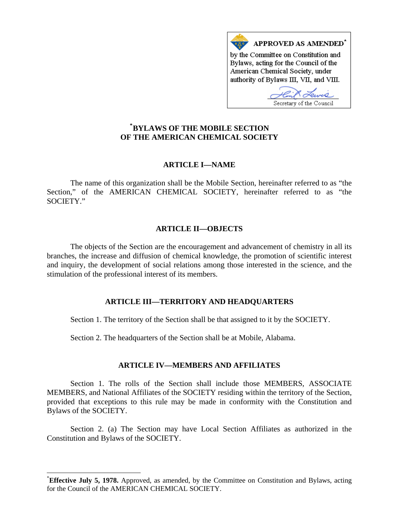

# **\* [BYLAWS OF THE MOBILE SECTION](#page-0-0)  OF THE AMERICAN CHEMICAL SOCIETY**

## **ARTICLE I—NAME**

The name of this organization shall be the Mobile Section, hereinafter referred to as "the Section," of the AMERICAN CHEMICAL SOCIETY, hereinafter referred to as "the SOCIETY."

## **ARTICLE II—OBJECTS**

The objects of the Section are the encouragement and advancement of chemistry in all its branches, the increase and diffusion of chemical knowledge, the promotion of scientific interest and inquiry, the development of social relations among those interested in the science, and the stimulation of the professional interest of its members.

## **ARTICLE III—TERRITORY AND HEADQUARTERS**

Section 1. The territory of the Section shall be that assigned to it by the SOCIETY.

Section 2. The headquarters of the Section shall be at Mobile, Alabama.

## **ARTICLE IV—MEMBERS AND AFFILIATES**

Section 1. The rolls of the Section shall include those MEMBERS, ASSOCIATE MEMBERS, and National Affiliates of the SOCIETY residing within the territory of the Section, provided that exceptions to this rule may be made in conformity with the Constitution and Bylaws of the SOCIETY.

Section 2. (a) The Section may have Local Section Affiliates as authorized in the Constitution and Bylaws of the SOCIETY.

 $\overline{\phantom{a}}$ 

<span id="page-0-0"></span><sup>\*</sup> **Effective July 5, 1978.** Approved, as amended, by the Committee on Constitution and Bylaws, acting for the Council of the AMERICAN CHEMICAL SOCIETY.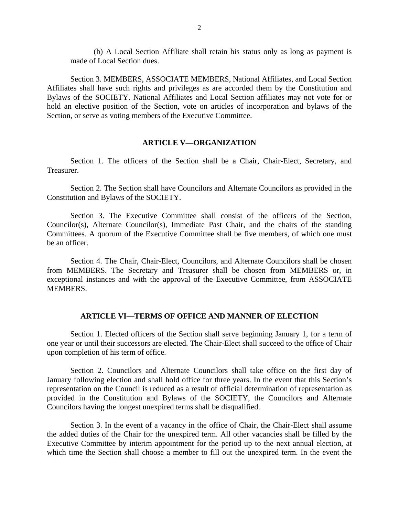(b) A Local Section Affiliate shall retain his status only as long as payment is made of Local Section dues.

Section 3. MEMBERS, ASSOCIATE MEMBERS, National Affiliates, and Local Section Affiliates shall have such rights and privileges as are accorded them by the Constitution and Bylaws of the SOCIETY. National Affiliates and Local Section affiliates may not vote for or hold an elective position of the Section, vote on articles of incorporation and bylaws of the Section, or serve as voting members of the Executive Committee.

#### **ARTICLE V—ORGANIZATION**

Section 1. The officers of the Section shall be a Chair, Chair-Elect, Secretary, and Treasurer.

Section 2. The Section shall have Councilors and Alternate Councilors as provided in the Constitution and Bylaws of the SOCIETY.

Section 3. The Executive Committee shall consist of the officers of the Section, Councilor(s), Alternate Councilor(s), Immediate Past Chair, and the chairs of the standing Committees. A quorum of the Executive Committee shall be five members, of which one must be an officer.

Section 4. The Chair, Chair-Elect, Councilors, and Alternate Councilors shall be chosen from MEMBERS. The Secretary and Treasurer shall be chosen from MEMBERS or, in exceptional instances and with the approval of the Executive Committee, from ASSOCIATE MEMBERS.

#### **ARTICLE VI—TERMS OF OFFICE AND MANNER OF ELECTION**

Section 1. Elected officers of the Section shall serve beginning January 1, for a term of one year or until their successors are elected. The Chair-Elect shall succeed to the office of Chair upon completion of his term of office.

Section 2. Councilors and Alternate Councilors shall take office on the first day of January following election and shall hold office for three years. In the event that this Section's representation on the Council is reduced as a result of official determination of representation as provided in the Constitution and Bylaws of the SOCIETY, the Councilors and Alternate Councilors having the longest unexpired terms shall be disqualified.

Section 3. In the event of a vacancy in the office of Chair, the Chair-Elect shall assume the added duties of the Chair for the unexpired term. All other vacancies shall be filled by the Executive Committee by interim appointment for the period up to the next annual election, at which time the Section shall choose a member to fill out the unexpired term. In the event the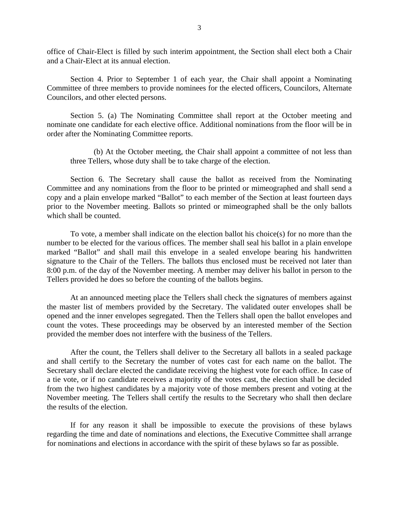office of Chair-Elect is filled by such interim appointment, the Section shall elect both a Chair and a Chair-Elect at its annual election.

Section 4. Prior to September 1 of each year, the Chair shall appoint a Nominating Committee of three members to provide nominees for the elected officers, Councilors, Alternate Councilors, and other elected persons.

Section 5. (a) The Nominating Committee shall report at the October meeting and nominate one candidate for each elective office. Additional nominations from the floor will be in order after the Nominating Committee reports.

(b) At the October meeting, the Chair shall appoint a committee of not less than three Tellers, whose duty shall be to take charge of the election.

Section 6. The Secretary shall cause the ballot as received from the Nominating Committee and any nominations from the floor to be printed or mimeographed and shall send a copy and a plain envelope marked "Ballot" to each member of the Section at least fourteen days prior to the November meeting. Ballots so printed or mimeographed shall be the only ballots which shall be counted.

To vote, a member shall indicate on the election ballot his choice(s) for no more than the number to be elected for the various offices. The member shall seal his ballot in a plain envelope marked "Ballot" and shall mail this envelope in a sealed envelope bearing his handwritten signature to the Chair of the Tellers. The ballots thus enclosed must be received not later than 8:00 p.m. of the day of the November meeting. A member may deliver his ballot in person to the Tellers provided he does so before the counting of the ballots begins.

At an announced meeting place the Tellers shall check the signatures of members against the master list of members provided by the Secretary. The validated outer envelopes shall be opened and the inner envelopes segregated. Then the Tellers shall open the ballot envelopes and count the votes. These proceedings may be observed by an interested member of the Section provided the member does not interfere with the business of the Tellers.

After the count, the Tellers shall deliver to the Secretary all ballots in a sealed package and shall certify to the Secretary the number of votes cast for each name on the ballot. The Secretary shall declare elected the candidate receiving the highest vote for each office. In case of a tie vote, or if no candidate receives a majority of the votes cast, the election shall be decided from the two highest candidates by a majority vote of those members present and voting at the November meeting. The Tellers shall certify the results to the Secretary who shall then declare the results of the election.

If for any reason it shall be impossible to execute the provisions of these bylaws regarding the time and date of nominations and elections, the Executive Committee shall arrange for nominations and elections in accordance with the spirit of these bylaws so far as possible.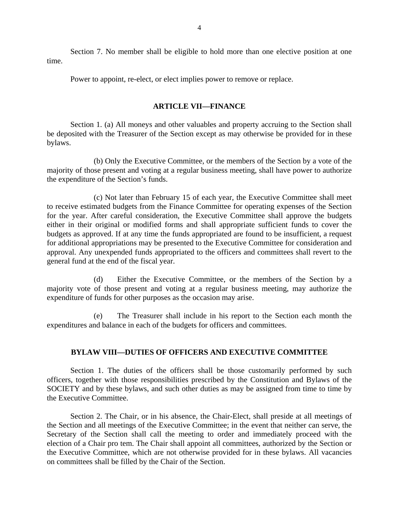Section 7. No member shall be eligible to hold more than one elective position at one time.

Power to appoint, re-elect, or elect implies power to remove or replace.

#### **ARTICLE VII—FINANCE**

Section 1. (a) All moneys and other valuables and property accruing to the Section shall be deposited with the Treasurer of the Section except as may otherwise be provided for in these bylaws.

(b) Only the Executive Committee, or the members of the Section by a vote of the majority of those present and voting at a regular business meeting, shall have power to authorize the expenditure of the Section's funds.

(c) Not later than February 15 of each year, the Executive Committee shall meet to receive estimated budgets from the Finance Committee for operating expenses of the Section for the year. After careful consideration, the Executive Committee shall approve the budgets either in their original or modified forms and shall appropriate sufficient funds to cover the budgets as approved. If at any time the funds appropriated are found to be insufficient, a request for additional appropriations may be presented to the Executive Committee for consideration and approval. Any unexpended funds appropriated to the officers and committees shall revert to the general fund at the end of the fiscal year.

(d) Either the Executive Committee, or the members of the Section by a majority vote of those present and voting at a regular business meeting, may authorize the expenditure of funds for other purposes as the occasion may arise.

(e) The Treasurer shall include in his report to the Section each month the expenditures and balance in each of the budgets for officers and committees.

## **BYLAW VIII—DUTIES OF OFFICERS AND EXECUTIVE COMMITTEE**

Section 1. The duties of the officers shall be those customarily performed by such officers, together with those responsibilities prescribed by the Constitution and Bylaws of the SOCIETY and by these bylaws, and such other duties as may be assigned from time to time by the Executive Committee.

Section 2. The Chair, or in his absence, the Chair-Elect, shall preside at all meetings of the Section and all meetings of the Executive Committee; in the event that neither can serve, the Secretary of the Section shall call the meeting to order and immediately proceed with the election of a Chair pro tem. The Chair shall appoint all committees, authorized by the Section or the Executive Committee, which are not otherwise provided for in these bylaws. All vacancies on committees shall be filled by the Chair of the Section.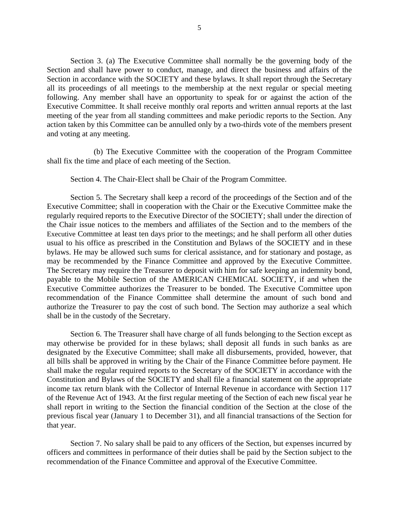Section 3. (a) The Executive Committee shall normally be the governing body of the Section and shall have power to conduct, manage, and direct the business and affairs of the Section in accordance with the SOCIETY and these bylaws. It shall report through the Secretary all its proceedings of all meetings to the membership at the next regular or special meeting following. Any member shall have an opportunity to speak for or against the action of the Executive Committee. It shall receive monthly oral reports and written annual reports at the last meeting of the year from all standing committees and make periodic reports to the Section. Any action taken by this Committee can be annulled only by a two-thirds vote of the members present and voting at any meeting.

(b) The Executive Committee with the cooperation of the Program Committee shall fix the time and place of each meeting of the Section.

Section 4. The Chair-Elect shall be Chair of the Program Committee.

Section 5. The Secretary shall keep a record of the proceedings of the Section and of the Executive Committee; shall in cooperation with the Chair or the Executive Committee make the regularly required reports to the Executive Director of the SOCIETY; shall under the direction of the Chair issue notices to the members and affiliates of the Section and to the members of the Executive Committee at least ten days prior to the meetings; and he shall perform all other duties usual to his office as prescribed in the Constitution and Bylaws of the SOCIETY and in these bylaws. He may be allowed such sums for clerical assistance, and for stationary and postage, as may be recommended by the Finance Committee and approved by the Executive Committee. The Secretary may require the Treasurer to deposit with him for safe keeping an indemnity bond, payable to the Mobile Section of the AMERICAN CHEMICAL SOCIETY, if and when the Executive Committee authorizes the Treasurer to be bonded. The Executive Committee upon recommendation of the Finance Committee shall determine the amount of such bond and authorize the Treasurer to pay the cost of such bond. The Section may authorize a seal which shall be in the custody of the Secretary.

Section 6. The Treasurer shall have charge of all funds belonging to the Section except as may otherwise be provided for in these bylaws; shall deposit all funds in such banks as are designated by the Executive Committee; shall make all disbursements, provided, however, that all bills shall be approved in writing by the Chair of the Finance Committee before payment. He shall make the regular required reports to the Secretary of the SOCIETY in accordance with the Constitution and Bylaws of the SOCIETY and shall file a financial statement on the appropriate income tax return blank with the Collector of Internal Revenue in accordance with Section 117 of the Revenue Act of 1943. At the first regular meeting of the Section of each new fiscal year he shall report in writing to the Section the financial condition of the Section at the close of the previous fiscal year (January 1 to December 31), and all financial transactions of the Section for that year.

Section 7. No salary shall be paid to any officers of the Section, but expenses incurred by officers and committees in performance of their duties shall be paid by the Section subject to the recommendation of the Finance Committee and approval of the Executive Committee.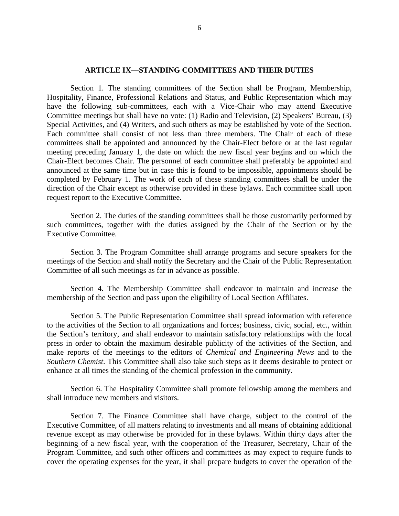#### **ARTICLE IX—STANDING COMMITTEES AND THEIR DUTIES**

Section 1. The standing committees of the Section shall be Program, Membership, Hospitality, Finance, Professional Relations and Status, and Public Representation which may have the following sub-committees, each with a Vice-Chair who may attend Executive Committee meetings but shall have no vote: (1) Radio and Television, (2) Speakers' Bureau, (3) Special Activities, and (4) Writers, and such others as may be established by vote of the Section. Each committee shall consist of not less than three members. The Chair of each of these committees shall be appointed and announced by the Chair-Elect before or at the last regular meeting preceding January 1, the date on which the new fiscal year begins and on which the Chair-Elect becomes Chair. The personnel of each committee shall preferably be appointed and announced at the same time but in case this is found to be impossible, appointments should be completed by February 1. The work of each of these standing committees shall be under the direction of the Chair except as otherwise provided in these bylaws. Each committee shall upon request report to the Executive Committee.

Section 2. The duties of the standing committees shall be those customarily performed by such committees, together with the duties assigned by the Chair of the Section or by the Executive Committee.

Section 3. The Program Committee shall arrange programs and secure speakers for the meetings of the Section and shall notify the Secretary and the Chair of the Public Representation Committee of all such meetings as far in advance as possible.

Section 4. The Membership Committee shall endeavor to maintain and increase the membership of the Section and pass upon the eligibility of Local Section Affiliates.

Section 5. The Public Representation Committee shall spread information with reference to the activities of the Section to all organizations and forces; business, civic, social, etc., within the Section's territory, and shall endeavor to maintain satisfactory relationships with the local press in order to obtain the maximum desirable publicity of the activities of the Section, and make reports of the meetings to the editors of *Chemical and Engineering News* and to the *Southern Chemist*. This Committee shall also take such steps as it deems desirable to protect or enhance at all times the standing of the chemical profession in the community.

Section 6. The Hospitality Committee shall promote fellowship among the members and shall introduce new members and visitors.

Section 7. The Finance Committee shall have charge, subject to the control of the Executive Committee, of all matters relating to investments and all means of obtaining additional revenue except as may otherwise be provided for in these bylaws. Within thirty days after the beginning of a new fiscal year, with the cooperation of the Treasurer, Secretary, Chair of the Program Committee, and such other officers and committees as may expect to require funds to cover the operating expenses for the year, it shall prepare budgets to cover the operation of the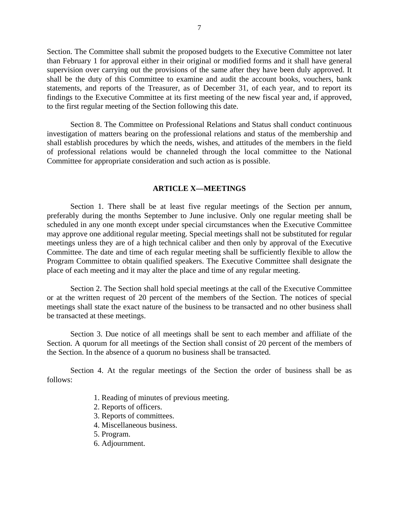Section. The Committee shall submit the proposed budgets to the Executive Committee not later than February 1 for approval either in their original or modified forms and it shall have general supervision over carrying out the provisions of the same after they have been duly approved. It shall be the duty of this Committee to examine and audit the account books, vouchers, bank statements, and reports of the Treasurer, as of December 31, of each year, and to report its findings to the Executive Committee at its first meeting of the new fiscal year and, if approved, to the first regular meeting of the Section following this date.

Section 8. The Committee on Professional Relations and Status shall conduct continuous investigation of matters bearing on the professional relations and status of the membership and shall establish procedures by which the needs, wishes, and attitudes of the members in the field of professional relations would be channeled through the local committee to the National Committee for appropriate consideration and such action as is possible.

#### **ARTICLE X—MEETINGS**

Section 1. There shall be at least five regular meetings of the Section per annum, preferably during the months September to June inclusive. Only one regular meeting shall be scheduled in any one month except under special circumstances when the Executive Committee may approve one additional regular meeting. Special meetings shall not be substituted for regular meetings unless they are of a high technical caliber and then only by approval of the Executive Committee. The date and time of each regular meeting shall be sufficiently flexible to allow the Program Committee to obtain qualified speakers. The Executive Committee shall designate the place of each meeting and it may alter the place and time of any regular meeting.

Section 2. The Section shall hold special meetings at the call of the Executive Committee or at the written request of 20 percent of the members of the Section. The notices of special meetings shall state the exact nature of the business to be transacted and no other business shall be transacted at these meetings.

Section 3. Due notice of all meetings shall be sent to each member and affiliate of the Section. A quorum for all meetings of the Section shall consist of 20 percent of the members of the Section. In the absence of a quorum no business shall be transacted.

Section 4. At the regular meetings of the Section the order of business shall be as follows:

- 1. Reading of minutes of previous meeting.
- 2. Reports of officers.
- 3. Reports of committees.
- 4. Miscellaneous business.
- 5. Program.
- 6. Adjournment.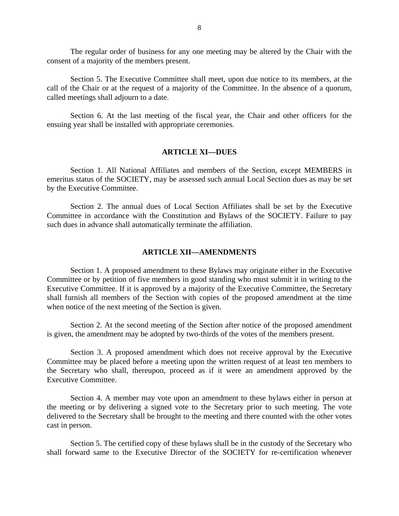The regular order of business for any one meeting may be altered by the Chair with the consent of a majority of the members present.

Section 5. The Executive Committee shall meet, upon due notice to its members, at the call of the Chair or at the request of a majority of the Committee. In the absence of a quorum, called meetings shall adjourn to a date.

Section 6. At the last meeting of the fiscal year, the Chair and other officers for the ensuing year shall be installed with appropriate ceremonies.

#### **ARTICLE XI—DUES**

Section 1. All National Affiliates and members of the Section, except MEMBERS in emeritus status of the SOCIETY, may be assessed such annual Local Section dues as may be set by the Executive Committee.

Section 2. The annual dues of Local Section Affiliates shall be set by the Executive Committee in accordance with the Constitution and Bylaws of the SOCIETY. Failure to pay such dues in advance shall automatically terminate the affiliation.

## **ARTICLE XII—AMENDMENTS**

Section 1. A proposed amendment to these Bylaws may originate either in the Executive Committee or by petition of five members in good standing who must submit it in writing to the Executive Committee. If it is approved by a majority of the Executive Committee, the Secretary shall furnish all members of the Section with copies of the proposed amendment at the time when notice of the next meeting of the Section is given.

Section 2. At the second meeting of the Section after notice of the proposed amendment is given, the amendment may be adopted by two-thirds of the votes of the members present.

Section 3. A proposed amendment which does not receive approval by the Executive Committee may be placed before a meeting upon the written request of at least ten members to the Secretary who shall, thereupon, proceed as if it were an amendment approved by the Executive Committee.

Section 4. A member may vote upon an amendment to these bylaws either in person at the meeting or by delivering a signed vote to the Secretary prior to such meeting. The vote delivered to the Secretary shall be brought to the meeting and there counted with the other votes cast in person.

Section 5. The certified copy of these bylaws shall be in the custody of the Secretary who shall forward same to the Executive Director of the SOCIETY for re-certification whenever